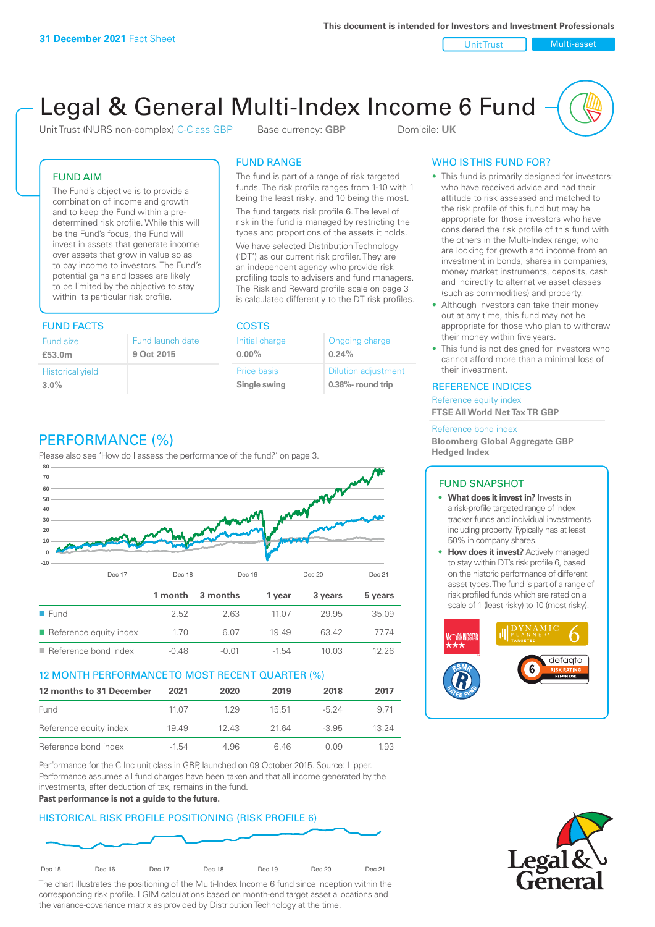Unit Trust Nulti-asset

# Legal & General Multi-Index Income 6 Fund

Unit Trust (NURS non-complex) C-Class GBP Base currency: **GBP** Domicile: UK

# FUND AIM

The Fund's objective is to provide a combination of income and growth and to keep the Fund within a predetermined risk profile. While this will be the Fund's focus, the Fund will invest in assets that generate income over assets that grow in value so as to pay income to investors. The Fund's potential gains and losses are likely to be limited by the objective to stay within its particular risk profile.

# FUND FACTS COSTS

| Fund size                       | Fund launch date |
|---------------------------------|------------------|
| £53.0m                          | 9 Oct 2015       |
| <b>Historical yield</b><br>3.0% |                  |

# FUND RANGE

The fund is part of a range of risk targeted funds. The risk profile ranges from 1-10 with 1 being the least risky, and 10 being the most.

The fund targets risk profile 6. The level of risk in the fund is managed by restricting the types and proportions of the assets it holds. We have selected Distribution Technology ('DT') as our current risk profiler. They are an independent agency who provide risk profiling tools to advisers and fund managers. The Risk and Reward profile scale on page 3 is calculated differently to the DT risk profiles.

| Initial charge | Ongoing charge             |
|----------------|----------------------------|
| $0.00\%$       | 0.24%                      |
| Price basis    | <b>Dilution adjustment</b> |
| Single swing   | $0.38\%$ - round trip      |

# WHO IS THIS FUND FOR?

- This fund is primarily designed for investors: who have received advice and had their attitude to risk assessed and matched to the risk profile of this fund but may be appropriate for those investors who have considered the risk profile of this fund with the others in the Multi-Index range; who are looking for growth and income from an investment in bonds, shares in companies, money market instruments, deposits, cash and indirectly to alternative asset classes (such as commodities) and property.
- Although investors can take their money out at any time, this fund may not be appropriate for those who plan to withdraw their money within five years.
- This fund is not designed for investors who cannot afford more than a minimal loss of their investment.

# REFERENCE INDICES

Reference equity index **FTSE All World Net Tax TR GBP**

#### Reference bond index

**Bloomberg Global Aggregate GBP Hedged Index**

# FUND SNAPSHOT

- **• What does it invest in?** Invests in a risk-profile targeted range of index tracker funds and individual investments including property. Typically has at least 50% in company shares.
- **• How does it invest?** Actively managed to stay within DT's risk profile 6, based on the historic performance of different asset types. The fund is part of a range of risk profiled funds which are rated on a scale of 1 (least risky) to 10 (most risky).





# PERFORMANCE (%)

Please also see 'How do I assess the performance of the fund?' on page 3.



# 12 MONTH PERFORMANCE TO MOST RECENT QUARTER (%)

| 12 months to 31 December | 2021    | 2020 | 2019  | 2018    | 2017  |
|--------------------------|---------|------|-------|---------|-------|
| Fund                     | 11 07   | 129  | 15.51 | $-5.24$ | 9 71  |
| Reference equity index   | 1949    | 1243 | 2164  | $-3.95$ | 13 24 |
| Reference bond index     | $-1.54$ | 4.96 | 646   | 0.09    | 1.93  |

Performance for the C Inc unit class in GBP, launched on 09 October 2015. Source: Lipper. Performance assumes all fund charges have been taken and that all income generated by the investments, after deduction of tax, remains in the fund.

#### **Past performance is not a guide to the future.**

# HISTORICAL RISK PROFILE POSITIONING (RISK PROFILE 6)



The chart illustrates the positioning of the Multi-Index Income 6 fund since inception within the corresponding risk profile. LGIM calculations based on month-end target asset allocations and the variance-covariance matrix as provided by Distribution Technology at the time.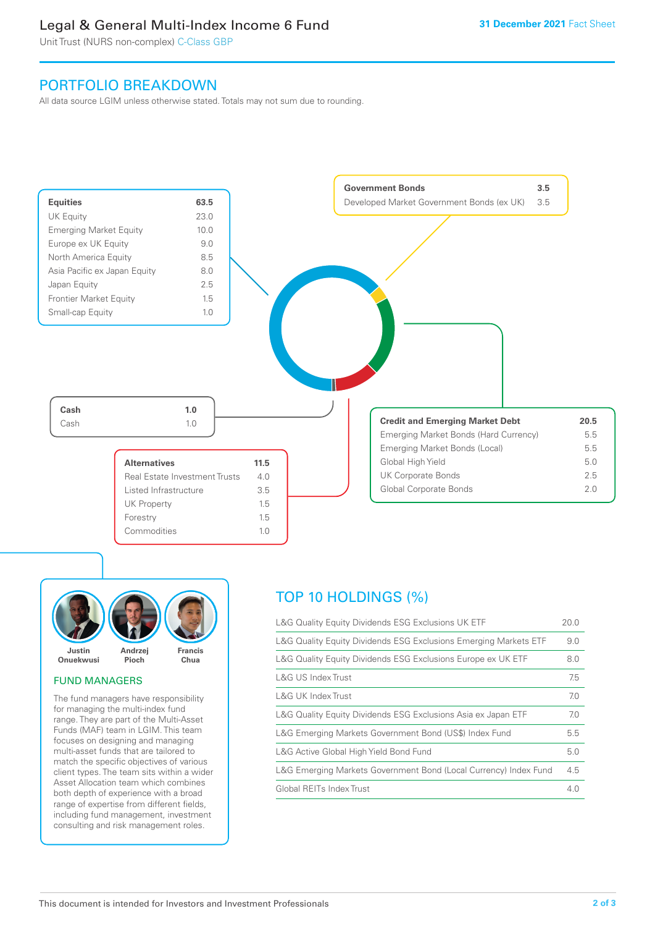# Legal & General Multi-Index Income 6 Fund

Unit Trust (NURS non-complex) C-Class GBP

# PORTFOLIO BREAKDOWN

All data source LGIM unless otherwise stated. Totals may not sum due to rounding.





# FUND MANAGERS

The fund managers have responsibility for managing the multi-index fund range. They are part of the Multi-Asset Funds (MAF) team in LGIM. This team focuses on designing and managing multi-asset funds that are tailored to match the specific objectives of various client types. The team sits within a wider Asset Allocation team which combines both depth of experience with a broad range of expertise from different fields, including fund management, investment consulting and risk management roles.

# TOP 10 HOLDINGS (%)

| L&G Quality Equity Dividends ESG Exclusions UK ETF               | 20.0 |
|------------------------------------------------------------------|------|
| L&G Quality Equity Dividends ESG Exclusions Emerging Markets ETF | 9.0  |
| L&G Quality Equity Dividends ESG Exclusions Europe ex UK ETF     | 8.0  |
| L&G US Index Trust                                               | 7.5  |
| L&G UK Index Trust                                               | 7.0  |
| L&G Quality Equity Dividends ESG Exclusions Asia ex Japan ETF    | 7.0  |
| L&G Emerging Markets Government Bond (US\$) Index Fund           | 5.5  |
| L&G Active Global High Yield Bond Fund                           | 5.0  |
| L&G Emerging Markets Government Bond (Local Currency) Index Fund | 4.5  |
| Global REITs Index Trust                                         | 4.0  |